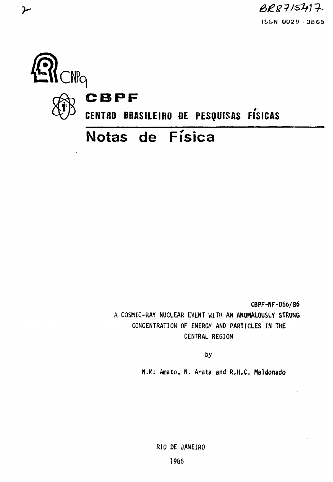$BRS7IS417$ **IL.L.N 0U2«J - JUCb**



 $\blacktriangleright$ 

**CBPF-NF-056/86** A COSMIC-RAY NUCLEAR EVENT **WITH AN ANOMALOUSLY STRONG** CONCENTRATION OF ENERGY AND PARTICLES IN THE CENTRAL REGION

by

N.M: Amato, N. Arata and R.H.C. Maldonado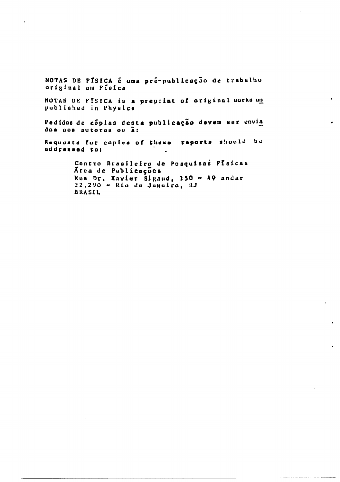NOTAS DE FÍSICA é uma pré-publicação de trabalho original om Fisica

NOTAS DE FÍSICA is a preprint of original works un published in Physics

Pedidos de cóplas desta publicação devem ser envia dos aos autores ou a:

reports should be Requests for copies of these addressed to:

> Centro Brasileiro de Posquisas Físicas Area de Publicações Rua Dr. Xavier Sigaud, 150 - 49 andar  $22.290 -$  Rio de Janeiro, RJ BRASIL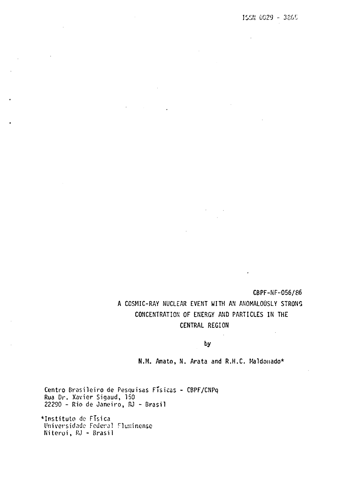$\mathcal{A}$ 

 $\ddot{\phantom{a}}$ 

**CBPF-NF-056/86** A COSMIC-RAY NUCLEAR EVENT WITH AN ANOMALOUSLY STRONG CONCENTRATION OF ENERGY AND PARTICLES IN THE CENTRAL REGION

by

N.M. Amato, N. Arata and R.H.C. Maldonado\*

Centro Brasileiro de Pesquisas Físicas - CBPF/CNPq Rua Dr. Xavier Sigaud, 150 22290 - Rio de Janeiro, RJ - Brasil

•Instituto de FTsica Universidade Federal Fluminense Niterói, RJ - Brasil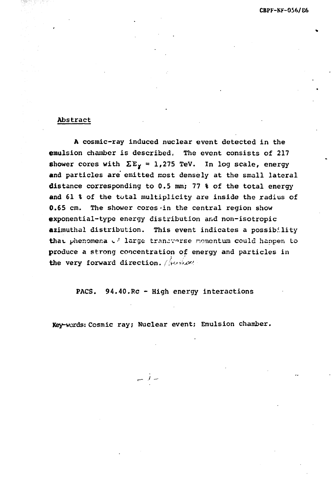## Abstract

A cosmic-ray induced nuclear event detected in the emulsion chamber is described, The event consists of 217 shower cores with  $\Sigma E_{\gamma} = 1,275$  TeV. In log scale, energy and particles are emitted most densely at the small lateral distance corresponding to 0.5 mm; 77 % of the total energy and 61 % of the total multiplicity are inside the radius of 0.65 cm. The shower cores in the central region show exponential-type energy distribution and non-isotropic azimuthal distribution. This event indicates a possibility that phenomena  $\epsilon^2$  large trancverse momentum could happen to produce a strong concentration of energy and particles in the very forward direction.  $\sqrt{h\nu\mu\rho\nu}$ 

# PACS. 94.40.Re - High energy interactions

Key-words: Cosmic ray; Nuclear event; Emulsion chamber.

 $\overline{a}$  i  $\overline{a}$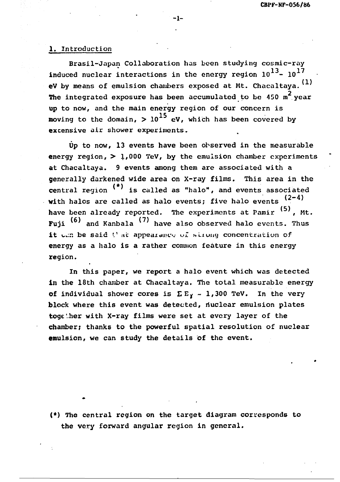#### 1, Introduction

Brasil-Japan Collaboration has been studying cosmic-ray induced nuclear interactions in the energy region  $10^{13}$ -  $10^{17}$ eV by means of emulsion chambers exposed at Mt. Chacaltaya. (1) The integrated exposure has been accumulated to be 450  $m^2$  year up to now, and the main energy region of our concern is moving to the domain,  $> 10^{15}$  eV, which has been covered by excensive air shower experiments.

Up to now, 13 events have been observed in the measurable energy region,  $> 1,000$  TeV, by the emulsion chamber experiments at Chacaltaya. 9 events among them are associated with a generally darkened wide area on X-ray films. This area in the central region  $(*)$  is called as "halo", and events associated with halos are called as halo events; five halo events  $(2-4)$ have been already reported. The experiments at Pamir <sup>(5)</sup>, Mt. Fuji  $(6)$  and Kanbala  $(7)$  have also observed halo events. Thus it can be said  $t^*$  at appearance of strong concentration of energy as a halo is a rather common feature in this energy region.

In this paper, we report a halo event which was detected in the 18th chamber at Chacaltaya. The total measurable energy of individual shower cores is  $\Sigma E_Y \sim 1,300$  TeV. In the very block where this event was detected, nuclear emulsion plates together with X-ray films were set at every layer of the chamber; thanks to the powerful spatial resolution of nuclear emulsion, we can study the details of the event.

(\*) The central region on the target diagram corresponds to the very forward angular region in general.

-1-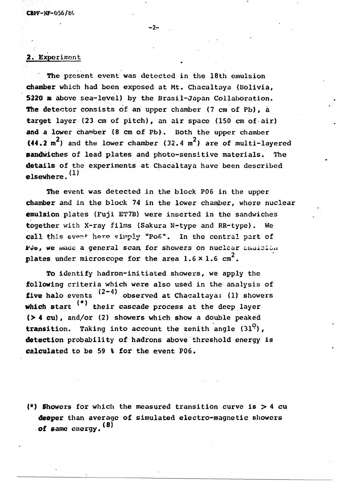## 2. Experiment

The present event was detected in the 18th emulsion chamber which had been exposed at Mt. Chacaltaya (Bolivia, 5220 m above sea-level) by the Brasil-Japan Collaboration. The detector consists of an upper chamber (7 cm of Pb), a target layer (23 cm of pitch), an air space (150 cm of air) and a lower chamber (8 cm of Pb). Both the upper chamber  $(44.2 \text{ m}^2)$  and the lower chamber  $(32.4 \text{ m}^2)$  are of multi-lavered sandwiches of lead plates and photo-sensitive materials. The details of the experiments at Chacaltaya have been described elsewhere  $(1)$ 

The event was detected in the block P06 in the upper chamber and in the block 74 in the lower chamber, where nuclear emulsion plates (Fuji ET7B) were inserted in the sandwiches together with X-ray films (Sakura N-type and RR-type). We call this event here simply "Po6". In the central part of call this event here simply "Po6". In the central part of , we made a general scan, for showers on nuclear challoion plates under microscope for the area  $1.6 \times 1.6$  cm<sup>2</sup>.

To identify hadron-initiated showers, we apply the following criteria which were also used in the analysis of five halo events  $(2-4)$  observed at Chacaltaya: (1) showers which start <sup>(\*)</sup> their cascade process at the deep layer  $($  > 4 cu), and/or  $(2)$  showers which show a double peaked **transition.** Taking into account the zenith angle  $(31^0)$ , detection probability of hadrons above threshold energy is calculated to be 59 % for the event P06.

(\*) Showers for which the measured transition curve is  $>$  4 cu deeper than average of simulated electro-magnetic showers of same energy. <sup>(8)</sup>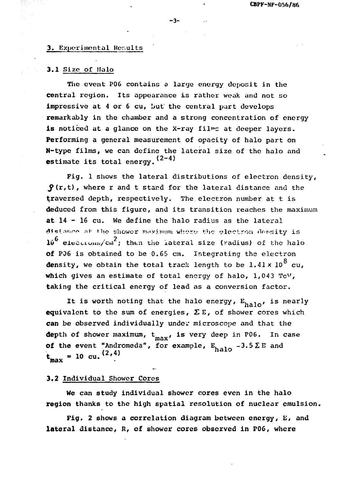#### **3. Experimental Results**

### **3 . 1 Siz e of Halo**

The event P06 contains a large energy deposit in the central region. Its appearance is rather weak and not so impressive at 4 or 6 cu, but the central part develops remarkably in the chamber and a strong concentration of energy is noticed at a glance on the X-ray films at deeper layers. Performing a general measurement of opacity of halo part on N-type films, we can define the lateral size of the halo and **estimate its total energy.**  $(2-4)$ 

Fig. 1 shows the lateral distributions of electron density,  $\mathbf{S}(\mathbf{r},t)$ , where r and t stand for the lateral distance and the traversed depth, respectively. The electron number at t is deduced from this figure, and its transition reaches the maximum at 14 - 16 cu. We define the halo radius as the lateral distance at the shower maximum where the electron density is  $10^6$  electrons/cm<sup>2</sup>; then the lateral size (radius) of the halo Of P06 is obtained to be 0.65 cm. Integrating the electron density, we obtain the total track length to be  $1.41 \times 10^8$  cu, which gives an estimate of total energy of halo,  $1,043$  TeV, taking the critical energy of lead as a conversion factor.

taking the critical energy of lead as a conversion factor. It is worth noting that the halo energy,  $E_{\text{halo}}$ , is nearly equivalent to the sum of energies, IEE, of shower cores which can be observed individually under microscope and that the depth of shower maximum,  $t_{max}$ , is very deep in P06. In case **of the event "Andromeda", for example,**  $E_{\text{h}a10}$  **-3.5**  $\Sigma$  **E and**  $(2.4)$  $t_{\text{max}} = 10 \text{ cu.}$   $(2, 4)$ 

### 3.2 Individual Shower Cores

We can study individual shower cores even in the halo region thanks to the high spatial resolution of nuclear emulsion.

Fig. 2 shows a correlation diagram between energy, E, and lateral distance, R, of shower cores observed in P06, where

**- 3-**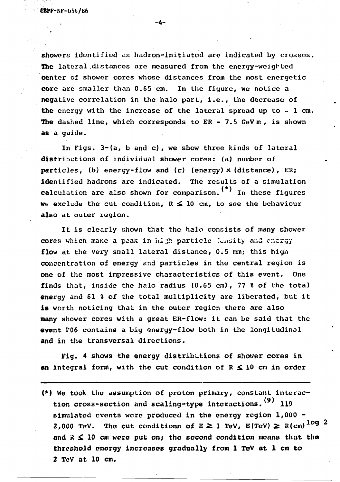**GBPF-NF-Ü56/86**

showers identified as hadron-initiatcd are indicated by crosses. The lateral distances are measured from the energy-weighted Center of shower cores whose distances from the most energetic core are smaller than 0.65 cm. In the figure, we notice a negative correlation in the halo part, i.e., the decrease of the energy with the increase of the lateral spread up to  $\sim$  1 cm. The dashed line, which corresponds to  $ER = 7.5$  GeV m, is shown as a guide.

**-4-**

In Figs. 3-(a, b and c) , we show three kinds of lateral distributions of individual shower cores: (a) number of particles, (b) energy-flow and (c) (energy)  $\times$  (distance), ER; identified hadrons are indicated. The results of a simulation calculation are also shown for comparison.  $(*)$  In these figures We exclude the cut condition,  $R \le 10$  cm, to see the behaviour also at outer region.

It is clearly shown that the halo consists of many shower cores which make a peak in hith particle Consity and energy flow at the very small lateral distance, 0.5 mm; this high concentration of energy and particles in the central region is one of the most impressive characteristics of this event. One finds that, inside the halo radius (0.65 cm), 77 % of the total energy and 61 % of the total multiplicity are liberated, but it is worth noticing that in the outer region there are also many shower cores with a great ER-flow: it can be said that the event P06 contains a big energy-flow both in the longitudinal and in the transversal directions.

Fig. 4 shows the energy distributions of shower cores in an integral form, with the cut condition of  $R \le 10$  cm in order

(\*) We took the assumption of proton primary, constant interac tion cross-section and scaling-type interactions.<sup>(9)</sup> 119 simulated events were produced in the energy region 1,000 - 2,000 TeV. The cut conditions of  $E \ge 1$  TeV,  $E(TeV) \ge R(cm)^{\log 2}$ and  $R \leq 10$  cm were put on; the second condition means that the threshold energy increases gradually from 1 TeV at 1 cm to 2 TcV at 10 cm.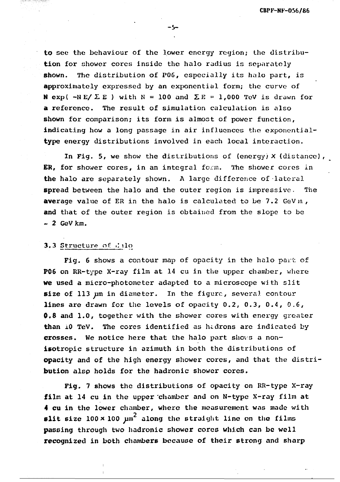to sec the behaviour of the lower energy region; the distribution for shower cores inside the halo radius is separately shown. The distribution of P06, especially its halo part, is approximately expressed by an exponential form; the curve of N exp(  $-NE/Z E$ ) with N = 100 and  $\Sigma E = 1,000$  TeV is drawn for a reference. The result of simulation calculation is also shown for comparison; its form is almost of power function, indicating how a long passage in air influences the exponentialtype energy distributions involved in each local interaction.

In Fig. 5, we show the distributions of (energy)  $X$  (distance), ER, for shower cores, in an integral form. The shower cores in the halo are separately shown. A large difference of lateral spread between the halo and the outer region is impressive. The average value of ER in the halo is calculated to be 7.2 GeV m, and that of the outer region is obtained from the slope to be  $-2$  GeV km.

### 3.3 Structure of  $\Box$  ilo

Fig. 6 shows a contour map of opacity in the halo part of P06 on RR-type X-ray film at 14 cu in the upper chamber, where We used a micro-photometer adapted to a microscope with slit size of 113  $\mu$ m in diameter. In the figure, several contour lines are drawn for the levels of opacity 0.2, 0.3, 0.4, 0.6, Õ.8 and 1.0, together with the shower cores with energy greater than 10 TeV. The cores identified as hadrons are indicated by crosses. We notice here that the halo part shows a nonisotropic structure in azimuth in both the distributions of opacity and of the high energy shower cores, and that the distribution also holds for the hadronic shower cores.

Fig. 7 shows the distributions of opacity on RR-type X-ray film at 14 cu in the upper chamber and on N-type X-ray film at 4 cu in the lower chamber, where the measurement was made with slit size  $100 \times 100$   $\mu$ <sup>2</sup> along the straight line on the films passing through two hadronic shower cores which can be well recognized in both chambers because of their strong and sharp

-5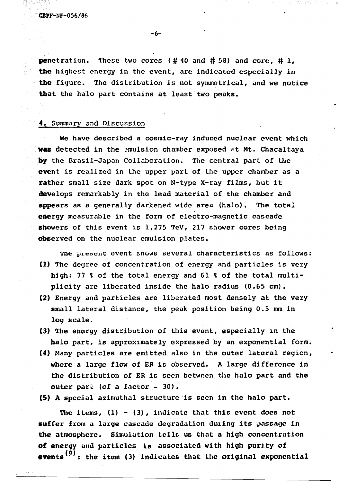penctration. These two cores (#40 and # 58) and core, #1, the highest energy in the event, are indicated especially in the figure. The distribution is not symmetrical, and we notice that the halo part contains at least two peaks.

-6-

#### 4» Summary and Discussion

We have described a cosmic-ray induced nuclear event which was detected in the emulsion chamber exposed at Mt. Chacaltaya by the Brasil-Japan Collaboration. The central part of the event is realized in the upper part of the upper chamber as a rather small size dark spot on N-type X-ray films, but it develops remarkably in the lead material of the chamber and appears as a generally darkened wide area (halo). The total energy measurable in the form of electro-magnetic cascade showers of this event is 1,275 TeV, 217 shower cores being observed on the nuclear emulsion plates.

The present event shows several characteristics as follows: (1) The degree of concentration of energy and particles is very high: 77 % of the total energy and 61 % of the total multiplicity are liberated inside the halo radius (0.65 cm).

- (2) Energy and particles are liberated most densely at the very small lateral distance, the peak position being 0.5 mm in log scale.
- (3) The energy distribution of this event, especially in the halo part, is approximately expressed by an exponential form.
- (4) Many particles are emitted also in the outer lateral region, where a large flow of ER is observed. A large difference in the distribution of ER is seen between the halo part and the outer part (of a factor  $\sim$  30).

(5) A special azimuthal structure is seen in the halo part.

The items,  $(1) - (3)$ , indicate that this event does not suffer from a large cascade degradation during its passage in the atmosphere. Simulation tells us that a high concentration of energy and particles is associated with high purity of la) events  $\rightarrow$  the item (5) indicates that the original exponential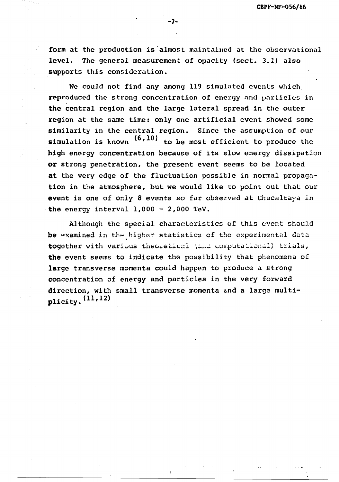form at the production is almost maintained at the observational level. The general measurement of opacity (sect. 3.1) also supports this consideration.

— 7 —

We could not find any among 119 simulated events which reproduced the strong concentration of energy and particles in the central region and the large lateral spread in the outer region at the same time: only one artificial event showed some similarity in the central region. Since the assumption of our simulation is known  $(6, 10)$  to be most efficient to produce the high energy concentration because of its slow energy dissipation or strong penetration, the present event seems to be located at the very edge of the fluctuation possible in normal propagation in the atmosphere, but we would like to point out that our event is one of only 8 events so far observed at Chacaltaya in the energy interval  $1,000 - 2,000$  TeV.

Although the special characteristics of this event should be examined in the higher statistics of the experimental data together with various theoretical (and computational) trials, the event seems to indicate the possibility that phenomena of large transverse momenta could happen to produce a strong concentration of energy and particles in the very forward direction, with small transverse momenta and a large multi-<br>plicity.  $(11,12)$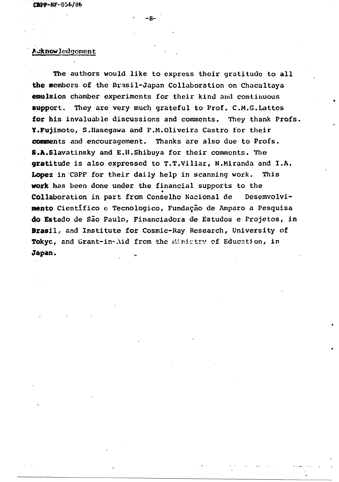# Acknowledgement

The authors would like to express their gratitude to all the members of the Brasil-Japan Collaboration on Chacaltaya emulsion chamber experiments for their kind and continuous support. They are very much grateful to Prof. C.M.G.Lattes for his invaluable discussions and comments. They thank Profs. Y.Fujimoto, S.IIasegawa and P.M.Oliveira Castro for their comments and encouragement. Thanks are also due to Profs. S.A.Slavatinsky and E.H.Shibuya for their comments. The gratitude is also expressed to T.T.Villar, N.Miranda and I.A. Lopez in CBPF for their daily help in scanning work. This work has been done under the financial supports to the Collaboration in part from Conselho Nacional de Desemvolvimento Científico e Tecnologico, Fundação de Amparo a Pesquisa do Estado de São Paulo, Financiadora de Estudos e Projetos, in Brasil, and Institute for Cosmic-Ray Research, University of Tokyo, and Grant-in-Aid from the Ministry of Education, in **Japan.**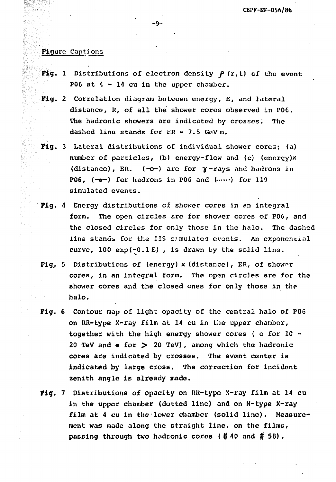# Flgurc Captions

- Fig. 1 Distributions of electron density  $\beta$  (r,t) of the event P06 at  $4 - 14$  cu in the upper chamber.
- Fig. 2 Correlation diagram between energy, E, and lateral distance, R, of all the shower cores observed in P06. The hadronic showers are indicated by crosses. The dashed line stands for  $ER = 7.5$  GeVm.
- Fig. 3 Lateral distributions of individual shower cores; (a) number of particles, (b) energy-flow and (c) (energy)x (distance), ER. (-o-) are for  $\gamma$ -rays and hadrons in P06,  $(-e-)$  for hadrons in P06 and  $(\cdots)$  for 119 simulated events.
- Pig. 4 Energy distributions of shower cores in an integral form. The open circles are for shower cores of P06, and the closed circles for only those in the halo. The dashed line stands for the 319 simulated events. An exponential curve, 100 exp(-O.lE) , is drawn by the solid line.
- Fig,. 5 Distributions of (energy) x (distance), ER, of shower cores, in an integral form. The open circles are for the shower cores and the closed ones for only those in the halo.
- Fig. 6 Contour map of light opacity of the central halo of P06 on RR-type X-ray film at 14 cu in the upper chamber, together with the high energy shower cores ( o for 10 - 20 TeV and  $\bullet$  for  $>$  20 TeV), among which the hadronic cores are indicated by crosses. The event center is indicated by large cross. The correction for incident zenith angle is already made.
- Fig. 7 Distributions of opacity on RR-type X-ray film at 14 cu in the upper chamber (dotted line) and on N-type X-ray film at 4 cu in the lower chamber (solid line). Measurement was made along the straight line, on the films, passing through two hadronic cores (# 40 and # 58).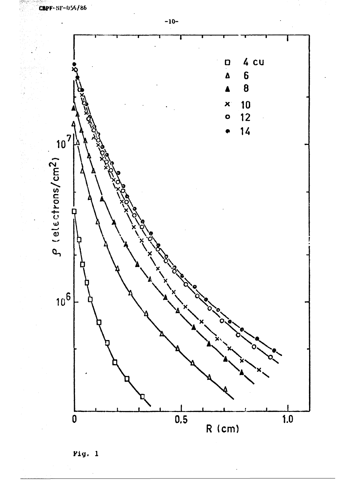





Fig. 1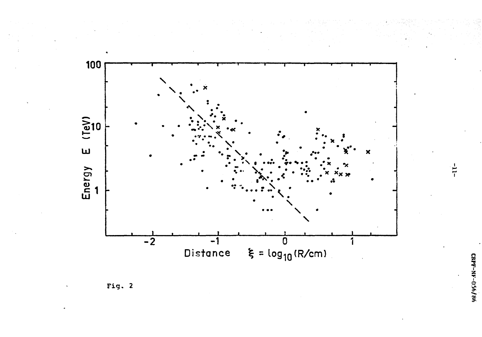

Fig. 2

 $-11-$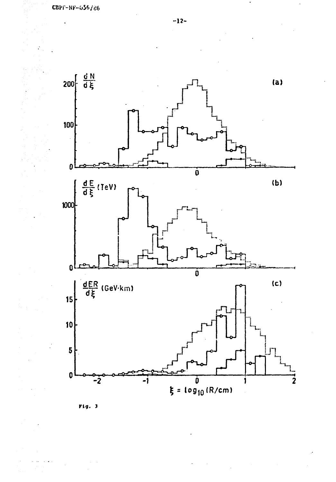

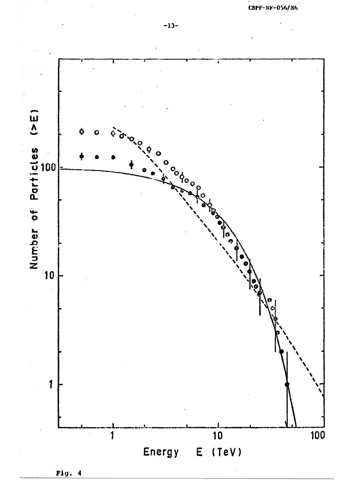

Fig. 4

CBPF-NF-056/86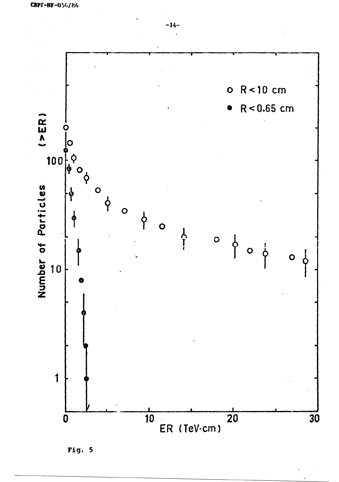



 $-14-$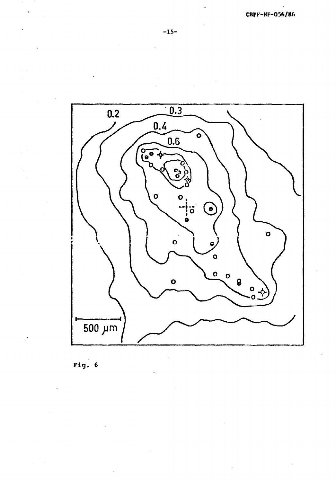





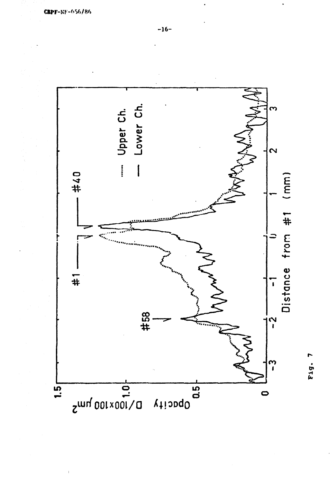

Fig. 7